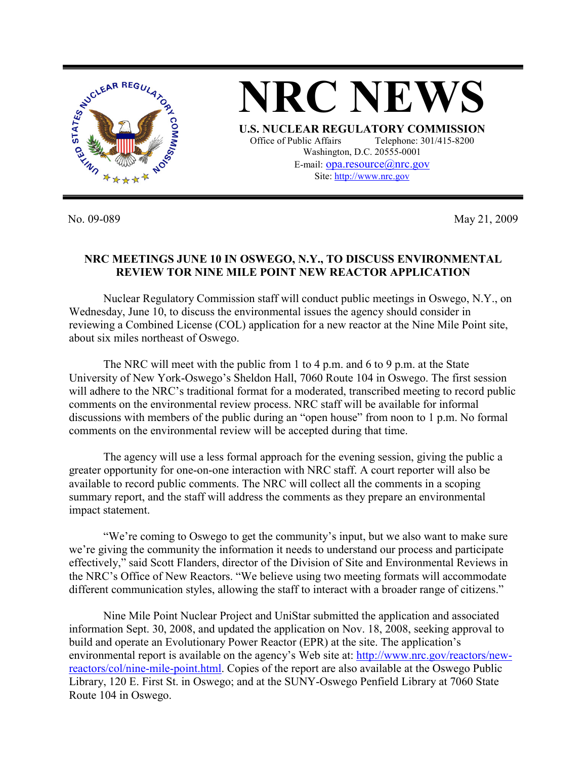

No. 09-089 May 21, 2009

## **NRC MEETINGS JUNE 10 IN OSWEGO, N.Y., TO DISCUSS ENVIRONMENTAL REVIEW TOR NINE MILE POINT NEW REACTOR APPLICATION**

 Nuclear Regulatory Commission staff will conduct public meetings in Oswego, N.Y., on Wednesday, June 10, to discuss the environmental issues the agency should consider in reviewing a Combined License (COL) application for a new reactor at the Nine Mile Point site, about six miles northeast of Oswego.

The NRC will meet with the public from 1 to 4 p.m. and 6 to 9 p.m. at the State University of New York-Oswego's Sheldon Hall, 7060 Route 104 in Oswego. The first session will adhere to the NRC's traditional format for a moderated, transcribed meeting to record public comments on the environmental review process. NRC staff will be available for informal discussions with members of the public during an "open house" from noon to 1 p.m. No formal comments on the environmental review will be accepted during that time.

The agency will use a less formal approach for the evening session, giving the public a greater opportunity for one-on-one interaction with NRC staff. A court reporter will also be available to record public comments. The NRC will collect all the comments in a scoping summary report, and the staff will address the comments as they prepare an environmental impact statement.

 "We're coming to Oswego to get the community's input, but we also want to make sure we're giving the community the information it needs to understand our process and participate effectively," said Scott Flanders, director of the Division of Site and Environmental Reviews in the NRC's Office of New Reactors. "We believe using two meeting formats will accommodate different communication styles, allowing the staff to interact with a broader range of citizens."

Nine Mile Point Nuclear Project and UniStar submitted the application and associated information Sept. 30, 2008, and updated the application on Nov. 18, 2008, seeking approval to build and operate an Evolutionary Power Reactor (EPR) at the site. The application's environmental report is available on the agency's Web site at: http://www.nrc.gov/reactors/newreactors/col/nine-mile-point.html. Copies of the report are also available at the Oswego Public Library, 120 E. First St. in Oswego; and at the SUNY-Oswego Penfield Library at 7060 State Route 104 in Oswego.